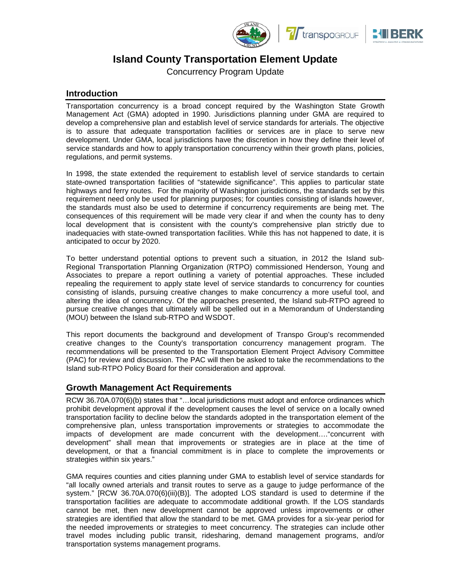





# **Island County Transportation Element Update**

Concurrency Program Update

# **Introduction**

Transportation concurrency is a broad concept required by the Washington State Growth Management Act (GMA) adopted in 1990. Jurisdictions planning under GMA are required to develop a comprehensive plan and establish level of service standards for arterials. The objective is to assure that adequate transportation facilities or services are in place to serve new development. Under GMA, local jurisdictions have the discretion in how they define their level of service standards and how to apply transportation concurrency within their growth plans, policies, regulations, and permit systems.

In 1998, the state extended the requirement to establish level of service standards to certain state-owned transportation facilities of "statewide significance". This applies to particular state highways and ferry routes. For the majority of Washington jurisdictions, the standards set by this requirement need only be used for planning purposes; for counties consisting of islands however, the standards must also be used to determine if concurrency requirements are being met. The consequences of this requirement will be made very clear if and when the county has to deny local development that is consistent with the county's comprehensive plan strictly due to inadequacies with state-owned transportation facilities. While this has not happened to date, it is anticipated to occur by 2020.

To better understand potential options to prevent such a situation, in 2012 the Island sub-Regional Transportation Planning Organization (RTPO) commissioned Henderson, Young and Associates to prepare a report outlining a variety of potential approaches. These included repealing the requirement to apply state level of service standards to concurrency for counties consisting of islands, pursuing creative changes to make concurrency a more useful tool, and altering the idea of concurrency. Of the approaches presented, the Island sub-RTPO agreed to pursue creative changes that ultimately will be spelled out in a Memorandum of Understanding (MOU) between the Island sub-RTPO and WSDOT.

This report documents the background and development of Transpo Group's recommended creative changes to the County's transportation concurrency management program. The recommendations will be presented to the Transportation Element Project Advisory Committee (PAC) for review and discussion. The PAC will then be asked to take the recommendations to the Island sub-RTPO Policy Board for their consideration and approval.

# **Growth Management Act Requirements**

RCW 36.70A.070(6)(b) states that "…local jurisdictions must adopt and enforce ordinances which prohibit development approval if the development causes the level of service on a locally owned transportation facility to decline below the standards adopted in the transportation element of the comprehensive plan, unless transportation improvements or strategies to accommodate the impacts of development are made concurrent with the development…."concurrent with development" shall mean that improvements or strategies are in place at the time of development, or that a financial commitment is in place to complete the improvements or strategies within six years."

GMA requires counties and cities planning under GMA to establish level of service standards for "all locally owned arterials and transit routes to serve as a gauge to judge performance of the system." [RCW 36.70A.070(6)(iii)(B)]. The adopted LOS standard is used to determine if the transportation facilities are adequate to accommodate additional growth. If the LOS standards cannot be met, then new development cannot be approved unless improvements or other strategies are identified that allow the standard to be met. GMA provides for a six-year period for the needed improvements or strategies to meet concurrency. The strategies can include other travel modes including public transit, ridesharing, demand management programs, and/or transportation systems management programs.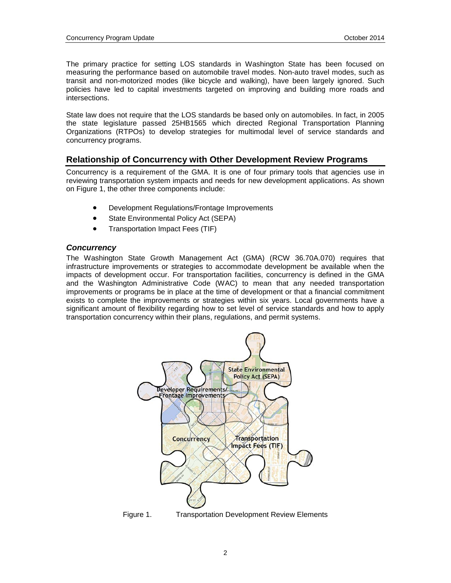The primary practice for setting LOS standards in Washington State has been focused on measuring the performance based on automobile travel modes. Non-auto travel modes, such as transit and non-motorized modes (like bicycle and walking), have been largely ignored. Such policies have led to capital investments targeted on improving and building more roads and intersections.

State law does not require that the LOS standards be based only on automobiles. In fact, in 2005 the state legislature passed 25HB1565 which directed Regional Transportation Planning Organizations (RTPOs) to develop strategies for multimodal level of service standards and concurrency programs.

# **Relationship of Concurrency with Other Development Review Programs**

Concurrency is a requirement of the GMA. It is one of four primary tools that agencies use in reviewing transportation system impacts and needs for new development applications. As shown on Figure 1, the other three components include:

- Development Regulations/Frontage Improvements
- State Environmental Policy Act (SEPA)
- Transportation Impact Fees (TIF)

# *Concurrency*

The Washington State Growth Management Act (GMA) (RCW 36.70A.070) requires that infrastructure improvements or strategies to accommodate development be available when the impacts of development occur. For transportation facilities, concurrency is defined in the GMA and the Washington Administrative Code (WAC) to mean that any needed transportation improvements or programs be in place at the time of development or that a financial commitment exists to complete the improvements or strategies within six years. Local governments have a significant amount of flexibility regarding how to set level of service standards and how to apply transportation concurrency within their plans, regulations, and permit systems.



 $\mathfrak{p}$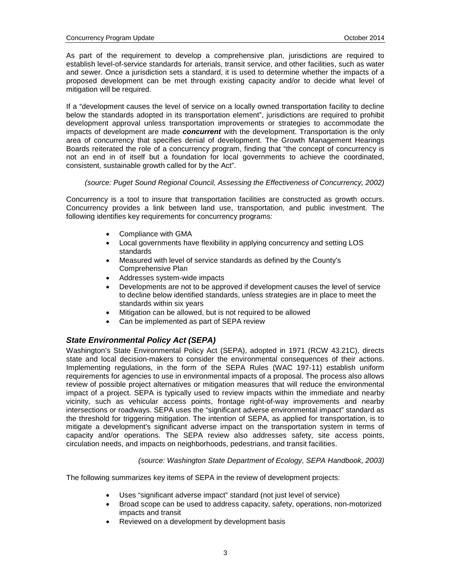As part of the requirement to develop a comprehensive plan, jurisdictions are required to establish level-of-service standards for arterials, transit service, and other facilities, such as water and sewer. Once a jurisdiction sets a standard, it is used to determine whether the impacts of a proposed development can be met through existing capacity and/or to decide what level of mitigation will be required.

If a "development causes the level of service on a locally owned transportation facility to decline below the standards adopted in its transportation element", jurisdictions are required to prohibit development approval unless transportation improvements or strategies to accommodate the impacts of development are made *concurrent* with the development. Transportation is the only area of concurrency that specifies denial of development. The Growth Management Hearings Boards reiterated the role of a concurrency program, finding that "the concept of concurrency is not an end in of itself but a foundation for local governments to achieve the coordinated, consistent, sustainable growth called for by the Act".

*(source: Puget Sound Regional Council, Assessing the Effectiveness of Concurrency, 2002)*

Concurrency is a tool to insure that transportation facilities are constructed as growth occurs. Concurrency provides a link between land use, transportation, and public investment. The following identifies key requirements for concurrency programs:

- Compliance with GMA
- Local governments have flexibility in applying concurrency and setting LOS standards
- Measured with level of service standards as defined by the County's Comprehensive Plan
- Addresses system-wide impacts
- Developments are not to be approved if development causes the level of service to decline below identified standards, unless strategies are in place to meet the standards within six years
- Mitigation can be allowed, but is not required to be allowed
- Can be implemented as part of SEPA review

# *State Environmental Policy Act (SEPA)*

Washington's State Environmental Policy Act (SEPA), adopted in 1971 (RCW 43.21C), directs state and local decision-makers to consider the environmental consequences of their actions. Implementing regulations, in the form of the SEPA Rules (WAC 197-11) establish uniform requirements for agencies to use in environmental impacts of a proposal. The process also allows review of possible project alternatives or mitigation measures that will reduce the environmental impact of a project. SEPA is typically used to review impacts within the immediate and nearby vicinity, such as vehicular access points, frontage right-of-way improvements and nearby intersections or roadways. SEPA uses the "significant adverse environmental impact" standard as the threshold for triggering mitigation. The intention of SEPA, as applied for transportation, is to mitigate a development's significant adverse impact on the transportation system in terms of capacity and/or operations. The SEPA review also addresses safety, site access points, circulation needs, and impacts on neighborhoods, pedestrians, and transit facilities.

*(source: Washington State Department of Ecology, SEPA Handbook, 2003)*

The following summarizes key items of SEPA in the review of development projects:

- Uses "significant adverse impact" standard (not just level of service)
- Broad scope can be used to address capacity, safety, operations, non-motorized impacts and transit
- Reviewed on a development by development basis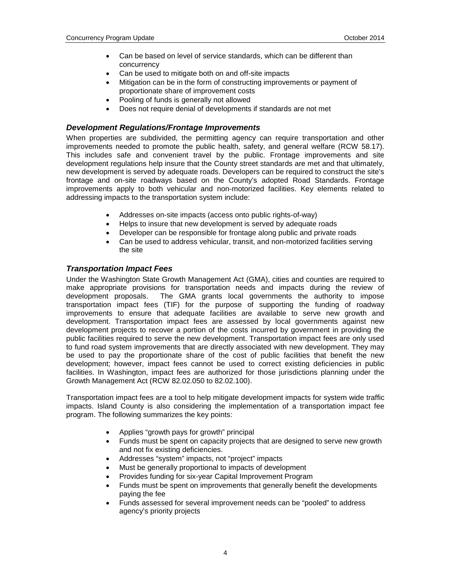- Can be based on level of service standards, which can be different than concurrency
- Can be used to mitigate both on and off-site impacts
- Mitigation can be in the form of constructing improvements or payment of proportionate share of improvement costs
- Pooling of funds is generally not allowed
- Does not require denial of developments if standards are not met

# *Development Regulations/Frontage Improvements*

When properties are subdivided, the permitting agency can require transportation and other improvements needed to promote the public health, safety, and general welfare (RCW 58.17). This includes safe and convenient travel by the public. Frontage improvements and site development regulations help insure that the County street standards are met and that ultimately, new development is served by adequate roads. Developers can be required to construct the site's frontage and on-site roadways based on the County's adopted Road Standards. Frontage improvements apply to both vehicular and non-motorized facilities. Key elements related to addressing impacts to the transportation system include:

- Addresses on-site impacts (access onto public rights-of-way)
- Helps to insure that new development is served by adequate roads
- Developer can be responsible for frontage along public and private roads
- Can be used to address vehicular, transit, and non-motorized facilities serving the site

# *Transportation Impact Fees*

Under the Washington State Growth Management Act (GMA), cities and counties are required to make appropriate provisions for transportation needs and impacts during the review of development proposals. The GMA grants local governments the authority to impose The GMA grants local governments the authority to impose transportation impact fees (TIF) for the purpose of supporting the funding of roadway improvements to ensure that adequate facilities are available to serve new growth and development. Transportation impact fees are assessed by local governments against new development projects to recover a portion of the costs incurred by government in providing the public facilities required to serve the new development. Transportation impact fees are only used to fund road system improvements that are directly associated with new development. They may be used to pay the proportionate share of the cost of public facilities that benefit the new development; however, impact fees cannot be used to correct existing deficiencies in public facilities. In Washington, impact fees are authorized for those jurisdictions planning under the Growth Management Act (RCW 82.02.050 to 82.02.100).

Transportation impact fees are a tool to help mitigate development impacts for system wide traffic impacts. Island County is also considering the implementation of a transportation impact fee program. The following summarizes the key points:

- Applies "growth pays for growth" principal
- Funds must be spent on capacity projects that are designed to serve new growth and not fix existing deficiencies.
- Addresses "system" impacts, not "project" impacts
- Must be generally proportional to impacts of development
- Provides funding for six-year Capital Improvement Program
- Funds must be spent on improvements that generally benefit the developments paying the fee
- Funds assessed for several improvement needs can be "pooled" to address agency's priority projects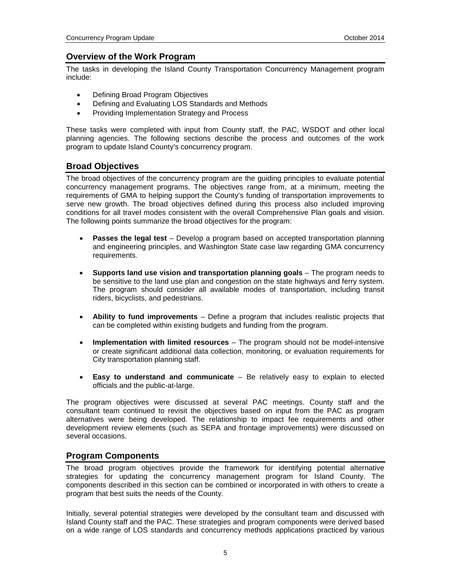# **Overview of the Work Program**

The tasks in developing the Island County Transportation Concurrency Management program include:

- Defining Broad Program Objectives
- Defining and Evaluating LOS Standards and Methods
- Providing Implementation Strategy and Process

These tasks were completed with input from County staff, the PAC, WSDOT and other local planning agencies. The following sections describe the process and outcomes of the work program to update Island County's concurrency program.

# **Broad Objectives**

The broad objectives of the concurrency program are the guiding principles to evaluate potential concurrency management programs. The objectives range from, at a minimum, meeting the requirements of GMA to helping support the County's funding of transportation improvements to serve new growth. The broad objectives defined during this process also included improving conditions for all travel modes consistent with the overall Comprehensive Plan goals and vision. The following points summarize the broad objectives for the program:

- **Passes the legal test** Develop a program based on accepted transportation planning and engineering principles, and Washington State case law regarding GMA concurrency requirements.
- **Supports land use vision and transportation planning goals** The program needs to be sensitive to the land use plan and congestion on the state highways and ferry system. The program should consider all available modes of transportation, including transit riders, bicyclists, and pedestrians.
- **Ability to fund improvements** Define a program that includes realistic projects that can be completed within existing budgets and funding from the program.
- **Implementation with limited resources** The program should not be model-intensive or create significant additional data collection, monitoring, or evaluation requirements for City transportation planning staff.
- **Easy to understand and communicate** Be relatively easy to explain to elected officials and the public-at-large.

The program objectives were discussed at several PAC meetings. County staff and the consultant team continued to revisit the objectives based on input from the PAC as program alternatives were being developed. The relationship to impact fee requirements and other development review elements (such as SEPA and frontage improvements) were discussed on several occasions.

# **Program Components**

The broad program objectives provide the framework for identifying potential alternative strategies for updating the concurrency management program for Island County. The components described in this section can be combined or incorporated in with others to create a program that best suits the needs of the County.

Initially, several potential strategies were developed by the consultant team and discussed with Island County staff and the PAC. These strategies and program components were derived based on a wide range of LOS standards and concurrency methods applications practiced by various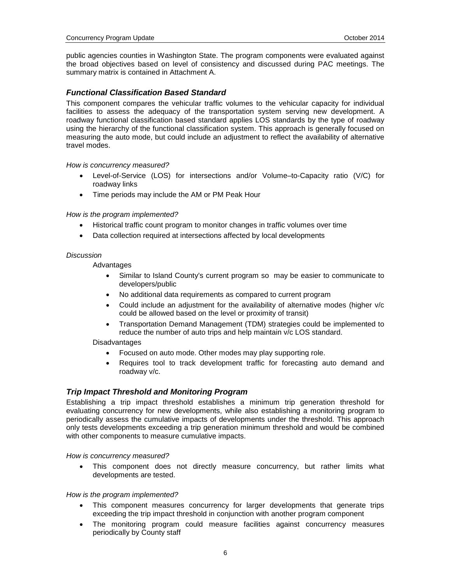public agencies counties in Washington State. The program components were evaluated against the broad objectives based on level of consistency and discussed during PAC meetings. The summary matrix is contained in Attachment A.

# *Functional Classification Based Standard*

This component compares the vehicular traffic volumes to the vehicular capacity for individual facilities to assess the adequacy of the transportation system serving new development. A roadway functional classification based standard applies LOS standards by the type of roadway using the hierarchy of the functional classification system. This approach is generally focused on measuring the auto mode, but could include an adjustment to reflect the availability of alternative travel modes.

### *How is concurrency measured?*

- Level-of-Service (LOS) for intersections and/or Volume–to-Capacity ratio (V/C) for roadway links
- Time periods may include the AM or PM Peak Hour

### *How is the program implemented?*

- Historical traffic count program to monitor changes in traffic volumes over time
- Data collection required at intersections affected by local developments

### *Discussion*

Advantages

- Similar to Island County's current program so may be easier to communicate to developers/public
- No additional data requirements as compared to current program
- Could include an adjustment for the availability of alternative modes (higher v/c could be allowed based on the level or proximity of transit)
- Transportation Demand Management (TDM) strategies could be implemented to reduce the number of auto trips and help maintain v/c LOS standard.

### Disadvantages

- Focused on auto mode. Other modes may play supporting role.
- Requires tool to track development traffic for forecasting auto demand and roadway v/c.

# *Trip Impact Threshold and Monitoring Program*

Establishing a trip impact threshold establishes a minimum trip generation threshold for evaluating concurrency for new developments, while also establishing a monitoring program to periodically assess the cumulative impacts of developments under the threshold. This approach only tests developments exceeding a trip generation minimum threshold and would be combined with other components to measure cumulative impacts.

*How is concurrency measured?*

• This component does not directly measure concurrency, but rather limits what developments are tested.

### *How is the program implemented?*

- This component measures concurrency for larger developments that generate trips exceeding the trip impact threshold in conjunction with another program component
- The monitoring program could measure facilities against concurrency measures periodically by County staff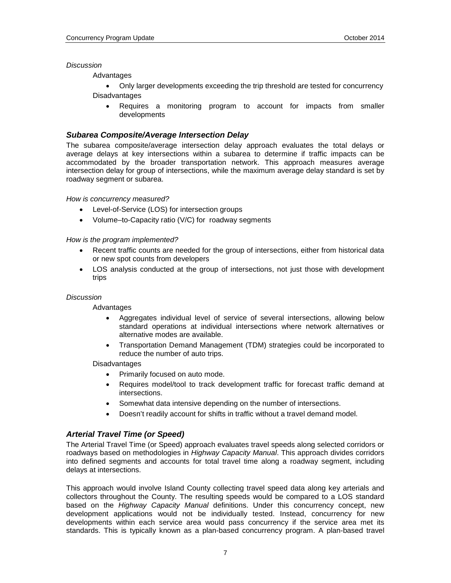### *Discussion*

**Advantages** 

- Only larger developments exceeding the trip threshold are tested for concurrency Disadvantages
	- Requires a monitoring program to account for impacts from smaller developments

### *Subarea Composite/Average Intersection Delay*

The subarea composite/average intersection delay approach evaluates the total delays or average delays at key intersections within a subarea to determine if traffic impacts can be accommodated by the broader transportation network. This approach measures average intersection delay for group of intersections, while the maximum average delay standard is set by roadway segment or subarea.

#### *How is concurrency measured?*

- Level-of-Service (LOS) for intersection groups
- Volume–to-Capacity ratio (V/C) for roadway segments

### *How is the program implemented?*

- Recent traffic counts are needed for the group of intersections, either from historical data or new spot counts from developers
- LOS analysis conducted at the group of intersections, not just those with development trips

### *Discussion*

Advantages

- Aggregates individual level of service of several intersections, allowing below standard operations at individual intersections where network alternatives or alternative modes are available.
- Transportation Demand Management (TDM) strategies could be incorporated to reduce the number of auto trips.

#### Disadvantages

- Primarily focused on auto mode.
- Requires model/tool to track development traffic for forecast traffic demand at intersections.
- Somewhat data intensive depending on the number of intersections.
- Doesn't readily account for shifts in traffic without a travel demand model.

# *Arterial Travel Time (or Speed)*

The Arterial Travel Time (or Speed) approach evaluates travel speeds along selected corridors or roadways based on methodologies in *Highway Capacity Manual*. This approach divides corridors into defined segments and accounts for total travel time along a roadway segment, including delays at intersections.

This approach would involve Island County collecting travel speed data along key arterials and collectors throughout the County. The resulting speeds would be compared to a LOS standard based on the *Highway Capacity Manual* definitions. Under this concurrency concept, new development applications would not be individually tested. Instead, concurrency for new developments within each service area would pass concurrency if the service area met its standards. This is typically known as a plan-based concurrency program. A plan-based travel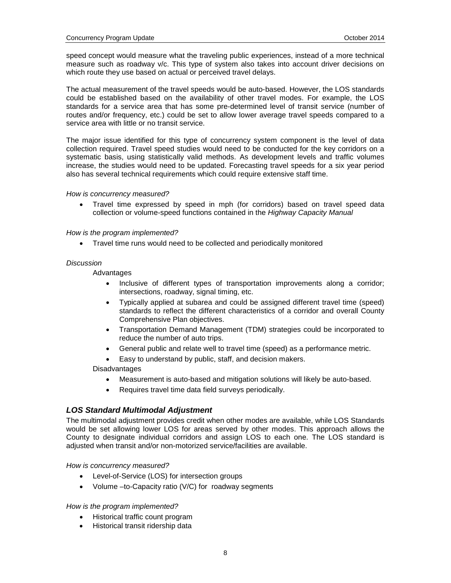speed concept would measure what the traveling public experiences, instead of a more technical measure such as roadway v/c. This type of system also takes into account driver decisions on which route they use based on actual or perceived travel delays.

The actual measurement of the travel speeds would be auto-based. However, the LOS standards could be established based on the availability of other travel modes. For example, the LOS standards for a service area that has some pre-determined level of transit service (number of routes and/or frequency, etc.) could be set to allow lower average travel speeds compared to a service area with little or no transit service.

The major issue identified for this type of concurrency system component is the level of data collection required. Travel speed studies would need to be conducted for the key corridors on a systematic basis, using statistically valid methods. As development levels and traffic volumes increase, the studies would need to be updated. Forecasting travel speeds for a six year period also has several technical requirements which could require extensive staff time.

*How is concurrency measured?*

• Travel time expressed by speed in mph (for corridors) based on travel speed data collection or volume-speed functions contained in the *Highway Capacity Manual*

#### *How is the program implemented?*

• Travel time runs would need to be collected and periodically monitored

#### *Discussion*

Advantages

- Inclusive of different types of transportation improvements along a corridor; intersections, roadway, signal timing, etc.
- Typically applied at subarea and could be assigned different travel time (speed) standards to reflect the different characteristics of a corridor and overall County Comprehensive Plan objectives.
- Transportation Demand Management (TDM) strategies could be incorporated to reduce the number of auto trips.
- General public and relate well to travel time (speed) as a performance metric.
- Easy to understand by public, staff, and decision makers.

Disadvantages

- Measurement is auto-based and mitigation solutions will likely be auto-based.
- Requires travel time data field surveys periodically.

### *LOS Standard Multimodal Adjustment*

The multimodal adjustment provides credit when other modes are available, while LOS Standards would be set allowing lower LOS for areas served by other modes. This approach allows the County to designate individual corridors and assign LOS to each one. The LOS standard is adjusted when transit and/or non-motorized service/facilities are available.

*How is concurrency measured?*

- Level-of-Service (LOS) for intersection groups
- Volume –to-Capacity ratio (V/C) for roadway segments

### *How is the program implemented?*

- Historical traffic count program
- Historical transit ridership data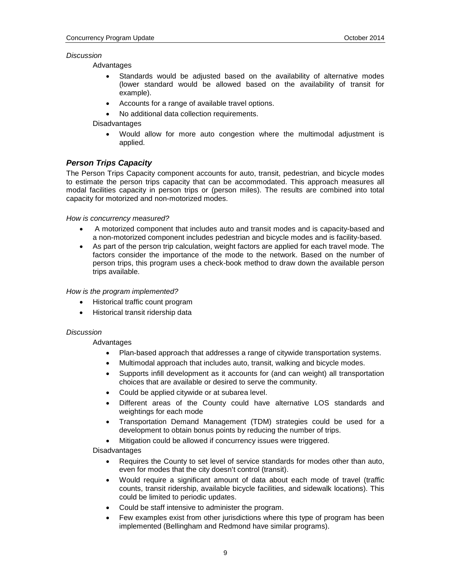### *Discussion*

Advantages

- Standards would be adjusted based on the availability of alternative modes (lower standard would be allowed based on the availability of transit for example).
- Accounts for a range of available travel options.
- No additional data collection requirements.

Disadvantages

• Would allow for more auto congestion where the multimodal adjustment is applied.

# *Person Trips Capacity*

The Person Trips Capacity component accounts for auto, transit, pedestrian, and bicycle modes to estimate the person trips capacity that can be accommodated. This approach measures all modal facilities capacity in person trips or (person miles). The results are combined into total capacity for motorized and non-motorized modes.

*How is concurrency measured?*

- A motorized component that includes auto and transit modes and is capacity-based and a non-motorized component includes pedestrian and bicycle modes and is facility-based.
- As part of the person trip calculation, weight factors are applied for each travel mode. The factors consider the importance of the mode to the network. Based on the number of person trips, this program uses a check-book method to draw down the available person trips available.

### *How is the program implemented?*

- Historical traffic count program
- Historical transit ridership data

### *Discussion*

### Advantages

- Plan-based approach that addresses a range of citywide transportation systems.
- Multimodal approach that includes auto, transit, walking and bicycle modes.
- Supports infill development as it accounts for (and can weight) all transportation choices that are available or desired to serve the community.
- Could be applied citywide or at subarea level.
- Different areas of the County could have alternative LOS standards and weightings for each mode
- Transportation Demand Management (TDM) strategies could be used for a development to obtain bonus points by reducing the number of trips.
- Mitigation could be allowed if concurrency issues were triggered.

### Disadvantages

- Requires the County to set level of service standards for modes other than auto, even for modes that the city doesn't control (transit).
- Would require a significant amount of data about each mode of travel (traffic counts, transit ridership, available bicycle facilities, and sidewalk locations). This could be limited to periodic updates.
- Could be staff intensive to administer the program.
- Few examples exist from other jurisdictions where this type of program has been implemented (Bellingham and Redmond have similar programs).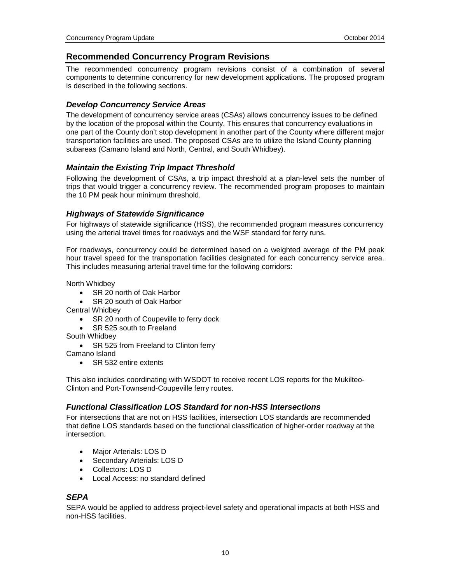# **Recommended Concurrency Program Revisions**

The recommended concurrency program revisions consist of a combination of several components to determine concurrency for new development applications. The proposed program is described in the following sections.

# *Develop Concurrency Service Areas*

The development of concurrency service areas (CSAs) allows concurrency issues to be defined by the location of the proposal within the County. This ensures that concurrency evaluations in one part of the County don't stop development in another part of the County where different major transportation facilities are used. The proposed CSAs are to utilize the Island County planning subareas (Camano Island and North, Central, and South Whidbey).

# *Maintain the Existing Trip Impact Threshold*

Following the development of CSAs, a trip impact threshold at a plan-level sets the number of trips that would trigger a concurrency review. The recommended program proposes to maintain the 10 PM peak hour minimum threshold.

# *Highways of Statewide Significance*

For highways of statewide significance (HSS), the recommended program measures concurrency using the arterial travel times for roadways and the WSF standard for ferry runs.

For roadways, concurrency could be determined based on a weighted average of the PM peak hour travel speed for the transportation facilities designated for each concurrency service area. This includes measuring arterial travel time for the following corridors:

North Whidbey

- SR 20 north of Oak Harbor
- SR 20 south of Oak Harbor

Central Whidbey

- SR 20 north of Coupeville to ferry dock
- SR 525 south to Freeland
- South Whidbey
	- SR 525 from Freeland to Clinton ferry

Camano Island

• SR 532 entire extents

This also includes coordinating with WSDOT to receive recent LOS reports for the Mukilteo-Clinton and Port-Townsend-Coupeville ferry routes.

# *Functional Classification LOS Standard for non-HSS Intersections*

For intersections that are not on HSS facilities, intersection LOS standards are recommended that define LOS standards based on the functional classification of higher-order roadway at the intersection.

- Major Arterials: LOS D
- Secondary Arterials: LOS D
- Collectors: LOS D
- Local Access: no standard defined

# *SEPA*

SEPA would be applied to address project-level safety and operational impacts at both HSS and non-HSS facilities.